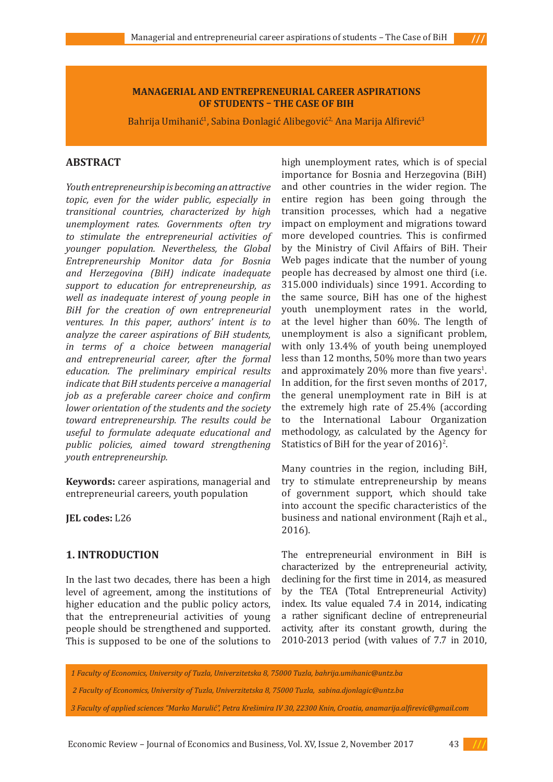### **MANAGERIAL AND ENTREPRENEURIAL CAREER ASPIRATIONS OF STUDENTS – THE CASE OF BIH**

Bahrija Umihanić<sup>i</sup>, Sabina Đonlagić Alibegović<sup>2,</sup> Ana Marija Alfirević<sup>3</sup>

# **ABSTRACT**

*Youth entrepreneurship is becoming an attractive topic, even for the wider public, especially in transitional countries, characterized by high unemployment rates. Governments often try to stimulate the entrepreneurial activities of younger population. Nevertheless, the Global Entrepreneurship Monitor data for Bosnia and Herzegovina (BiH) indicate inadequate support to education for entrepreneurship, as well as inadequate interest of young people in BiH for the creation of own entrepreneurial ventures. In this paper, authors' intent is to analyze the career aspirations of BiH students, in terms of a choice between managerial and entrepreneurial career, after the formal education. The preliminary empirical results indicate that BiH students perceive a managerial job as a preferable career choice and confirm lower orientation of the students and the society toward entrepreneurship. The results could be useful to formulate adequate educational and public policies, aimed toward strengthening youth entrepreneurship.*

**Keywords:** career aspirations, managerial and entrepreneurial careers, youth population

**JEL codes:** L26

### **1. INTRODUCTION**

In the last two decades, there has been a high level of agreement, among the institutions of higher education and the public policy actors, that the entrepreneurial activities of young people should be strengthened and supported. This is supposed to be one of the solutions to

high unemployment rates, which is of special importance for Bosnia and Herzegovina (BiH) and other countries in the wider region. The entire region has been going through the transition processes, which had a negative impact on employment and migrations toward more developed countries. This is confirmed by the Ministry of Civil Affairs of BiH. Their Web pages indicate that the number of young people has decreased by almost one third (i.e. 315.000 individuals) since 1991. According to the same source, BiH has one of the highest youth unemployment rates in the world, at the level higher than 60%. The length of unemployment is also a significant problem, with only 13.4% of youth being unemployed less than 12 months, 50% more than two years and approximately  $20\%$  more than five years<sup>1</sup>. In addition, for the first seven months of 2017, the general unemployment rate in BiH is at the extremely high rate of 25.4% (according to the International Labour Organization methodology, as calculated by the Agency for Statistics of BiH for the year of  $2016$ <sup>2</sup>.

Many countries in the region, including BiH, try to stimulate entrepreneurship by means of government support, which should take into account the specific characteristics of the business and national environment (Rajh et al., 2016).

The entrepreneurial environment in BiH is characterized by the entrepreneurial activity, declining for the first time in 2014, as measured by the TEA (Total Entrepreneurial Activity) index. Its value equaled 7.4 in 2014, indicating a rather significant decline of entrepreneurial activity, after its constant growth, during the 2010-2013 period (with values of 7.7 in 2010,

*1 Faculty of Economics, University of Tuzla, Univerzitetska 8, 75000 Tuzla, bahrija.umihanic@untz.ba*

 *2 Faculty of Economics, University of Tuzla, Univerzitetska 8, 75000 Tuzla, sabina.djonlagic@untz.ba*



*<sup>3</sup> Faculty of applied sciences "Marko Marulić", Petra Krešimira IV 30, 22300 Knin, Croatia, anamarija.alfirevic@gmail.com*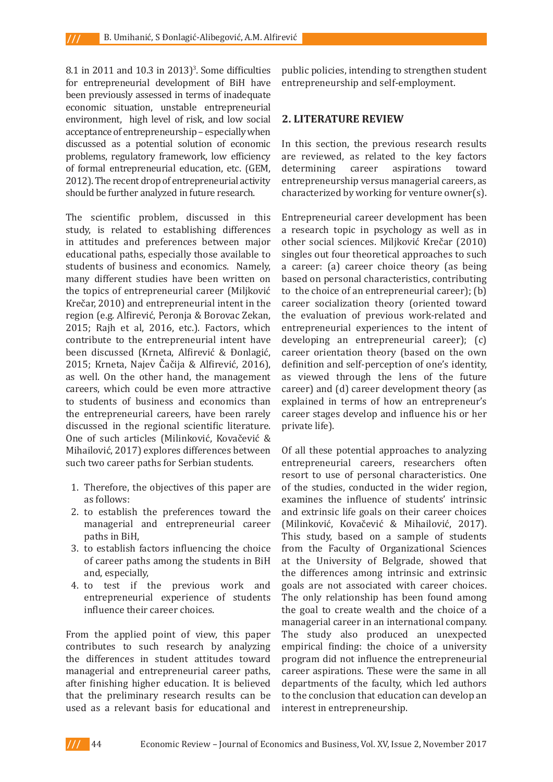$8.1$  in 2011 and 10.3 in 2013)<sup>3</sup>. Some difficulties for entrepreneurial development of BiH have been previously assessed in terms of inadequate economic situation, unstable entrepreneurial environment, high level of risk, and low social acceptance of entrepreneurship – especially when discussed as a potential solution of economic problems, regulatory framework, low efficiency of formal entrepreneurial education, etc. (GEM, 2012). The recent drop of entrepreneurial activity should be further analyzed in future research.

The scientific problem, discussed in this study, is related to establishing differences in attitudes and preferences between major educational paths, especially those available to students of business and economics. Namely, many different studies have been written on the topics of entrepreneurial career (Miljković Krečar, 2010) and entrepreneurial intent in the region (e.g. Alfirević, Peronja & Borovac Zekan, 2015; Rajh et al, 2016, etc.). Factors, which contribute to the entrepreneurial intent have been discussed (Krneta, Alfirević & Đonlagić, 2015; Krneta, Najev Čačija & Alfirević, 2016), as well. On the other hand, the management careers, which could be even more attractive to students of business and economics than the entrepreneurial careers, have been rarely discussed in the regional scientific literature. One of such articles (Milinković, Kovačević & Mihailović, 2017) explores differences between such two career paths for Serbian students.

- 1. Therefore, the objectives of this paper are as follows:
- 2. to establish the preferences toward the managerial and entrepreneurial career paths in BiH,
- 3. to establish factors influencing the choice of career paths among the students in BiH and, especially,
- 4. to test if the previous work and entrepreneurial experience of students influence their career choices.

From the applied point of view, this paper contributes to such research by analyzing the differences in student attitudes toward managerial and entrepreneurial career paths, after finishing higher education. It is believed that the preliminary research results can be used as a relevant basis for educational and

public policies, intending to strengthen student entrepreneurship and self-employment.

### **2. LITERATURE REVIEW**

In this section, the previous research results are reviewed, as related to the key factors<br>determining career aspirations toward career aspirations toward entrepreneurship versus managerial careers, as characterized by working for venture owner(s).

Entrepreneurial career development has been a research topic in psychology as well as in other social sciences. Miljković Krečar (2010) singles out four theoretical approaches to such a career: (a) career choice theory (as being based on personal characteristics, contributing to the choice of an entrepreneurial career); (b) career socialization theory (oriented toward the evaluation of previous work-related and entrepreneurial experiences to the intent of developing an entrepreneurial career); (c) career orientation theory (based on the own definition and self-perception of one's identity, as viewed through the lens of the future career) and (d) career development theory (as explained in terms of how an entrepreneur's career stages develop and influence his or her private life).

Of all these potential approaches to analyzing entrepreneurial careers, researchers often resort to use of personal characteristics. One of the studies, conducted in the wider region, examines the influence of students' intrinsic and extrinsic life goals on their career choices (Milinković, Kovačević & Mihailović, 2017). This study, based on a sample of students from the Faculty of Organizational Sciences at the University of Belgrade, showed that the differences among intrinsic and extrinsic goals are not associated with career choices. The only relationship has been found among the goal to create wealth and the choice of a managerial career in an international company. The study also produced an unexpected empirical finding: the choice of a university program did not influence the entrepreneurial career aspirations. These were the same in all departments of the faculty, which led authors to the conclusion that education can develop an interest in entrepreneurship.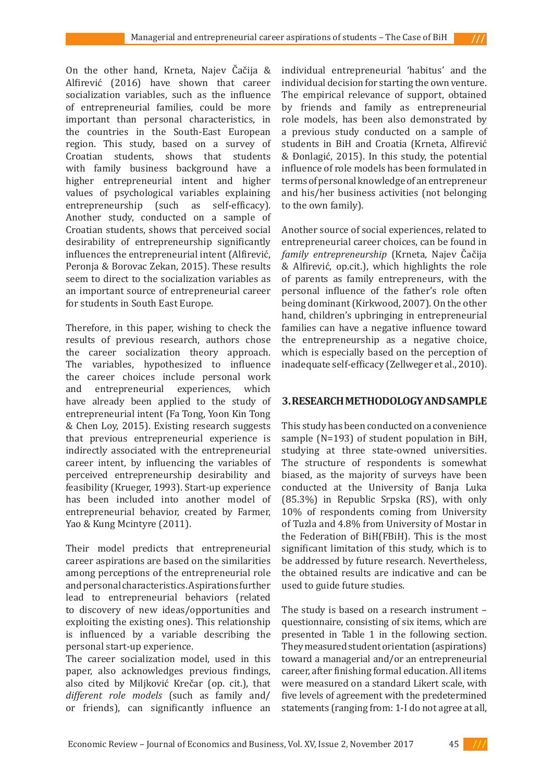On the other hand, Krneta, Najev Čačija & Alfirević (2016) have shown that career socialization variables, such as the influence of entrepreneurial families, could be more important than personal characteristics, in the countries in the South-East European region. This study, based on a survey of Croatian students, shows that students with family business background have a higher entrepreneurial intent and higher values of psychological variables explaining entrepreneurship (such as self-efficacy). Another study, conducted on a sample of Croatian students, shows that perceived social desirability of entrepreneurship significantly influences the entrepreneurial intent (Alfirević, Peronja & Borovac Zekan, 2015). These results seem to direct to the socialization variables as an important source of entrepreneurial career for students in South East Europe.

Therefore, in this paper, wishing to check the results of previous research, authors chose the career socialization theory approach. The variables, hypothesized to influence the career choices include personal work and entrepreneurial experiences, which have already been applied to the study of entrepreneurial intent (Fa Tong, Yoon Kin Tong & Chen Loy, 2015). Existing research suggests that previous entrepreneurial experience is indirectly associated with the entrepreneurial career intent, by influencing the variables of perceived entrepreneurship desirability and feasibility (Krueger, 1993). Start-up experience has been included into another model of entrepreneurial behavior, created by Farmer, Yao & Kung Mcintyre (2011).

Their model predicts that entrepreneurial career aspirations are based on the similarities among perceptions of the entrepreneurial role and personal characteristics. Aspirations further lead to entrepreneurial behaviors (related to discovery of new ideas/opportunities and exploiting the existing ones). This relationship is influenced by a variable describing the personal start-up experience.

The career socialization model, used in this paper, also acknowledges previous findings, also cited by Miljković Krečar (op. cit.), that *different role models* (such as family and/ or friends), can significantly influence an individual entrepreneurial 'habitus' and the individual decision for starting the own venture. The empirical relevance of support, obtained by friends and family as entrepreneurial role models, has been also demonstrated by a previous study conducted on a sample of students in BiH and Croatia (Krneta, Alfirević & Đonlagić, 2015). In this study, the potential influence of role models has been formulated in terms of personal knowledge of an entrepreneur and his/her business activities (not belonging to the own family).

Another source of social experiences, related to entrepreneurial career choices, can be found in *family entrepreneurship* (Krneta, Najev Čačija & Alfirević, op.cit.), which highlights the role of parents as family entrepreneurs, with the personal influence of the father's role often being dominant (Kirkwood, 2007). On the other hand, children's upbringing in entrepreneurial families can have a negative influence toward the entrepreneurship as a negative choice, which is especially based on the perception of inadequate self-efficacy (Zellweger et al., 2010).

# **3. RESEARCH METHODOLOGY AND SAMPLE**

This study has been conducted on a convenience sample (N=193) of student population in BiH, studying at three state-owned universities. The structure of respondents is somewhat biased, as the majority of surveys have been conducted at the University of Banja Luka (85.3%) in Republic Srpska (RS), with only 10% of respondents coming from University of Tuzla and 4.8% from University of Mostar in the Federation of BiH(FBiH). This is the most significant limitation of this study, which is to be addressed by future research. Nevertheless, the obtained results are indicative and can be used to guide future studies.

The study is based on a research instrument – questionnaire, consisting of six items, which are presented in Table 1 in the following section. They measured student orientation (aspirations) toward a managerial and/or an entrepreneurial career, after finishing formal education. All items were measured on a standard Likert scale, with five levels of agreement with the predetermined statements (ranging from: 1-I do not agree at all,

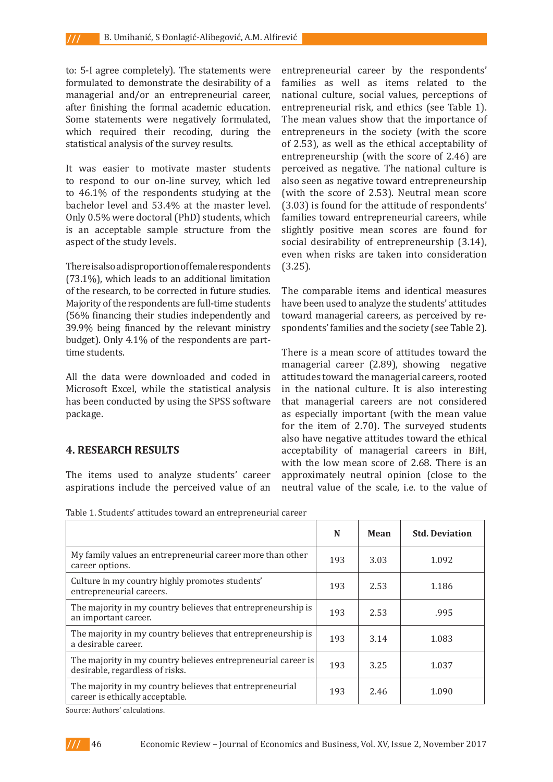to: 5-I agree completely). The statements were formulated to demonstrate the desirability of a managerial and/or an entrepreneurial career, after finishing the formal academic education. Some statements were negatively formulated, which required their recoding, during the statistical analysis of the survey results.

It was easier to motivate master students to respond to our on-line survey, which led to 46.1% of the respondents studying at the bachelor level and 53.4% at the master level. Only 0.5% were doctoral (PhD) students, which is an acceptable sample structure from the aspect of the study levels.

There is also a disproportion of female respondents (73.1%), which leads to an additional limitation of the research, to be corrected in future studies. Majority of the respondents are full-time students (56% financing their studies independently and 39.9% being financed by the relevant ministry budget). Only 4.1% of the respondents are parttime students.

All the data were downloaded and coded in Microsoft Excel, while the statistical analysis has been conducted by using the SPSS software package.

### **4. RESEARCH RESULTS**

The items used to analyze students' career aspirations include the perceived value of an

entrepreneurial career by the respondents' families as well as items related to the national culture, social values, perceptions of entrepreneurial risk, and ethics (see Table 1). The mean values show that the importance of entrepreneurs in the society (with the score of 2.53), as well as the ethical acceptability of entrepreneurship (with the score of 2.46) are perceived as negative. The national culture is also seen as negative toward entrepreneurship (with the score of 2.53). Neutral mean score (3.03) is found for the attitude of respondents' families toward entrepreneurial careers, while slightly positive mean scores are found for social desirability of entrepreneurship (3.14), even when risks are taken into consideration (3.25).

The comparable items and identical measures have been used to analyze the students' attitudes toward managerial careers, as perceived by respondents' families and the society (see Table 2).

There is a mean score of attitudes toward the managerial career (2.89), showing negative attitudes toward the managerial careers, rooted in the national culture. It is also interesting that managerial careers are not considered as especially important (with the mean value for the item of 2.70). The surveyed students also have negative attitudes toward the ethical acceptability of managerial careers in BiH, with the low mean score of 2.68. There is an approximately neutral opinion (close to the neutral value of the scale, i.e. to the value of

Table 1. Students' attitudes toward an entrepreneurial career

|                                                                                                  | N   | Mean | <b>Std. Deviation</b> |
|--------------------------------------------------------------------------------------------------|-----|------|-----------------------|
| My family values an entrepreneurial career more than other<br>career options.                    | 193 | 3.03 | 1.092                 |
| Culture in my country highly promotes students'<br>entrepreneurial careers.                      | 193 | 2.53 | 1.186                 |
| The majority in my country believes that entrepreneurship is<br>an important career.             | 193 | 2.53 | .995                  |
| The majority in my country believes that entrepreneurship is<br>a desirable career.              | 193 | 3.14 | 1.083                 |
| The majority in my country believes entrepreneurial career is<br>desirable, regardless of risks. | 193 | 3.25 | 1.037                 |
| The majority in my country believes that entrepreneurial<br>career is ethically acceptable.      | 193 | 2.46 | 1.090                 |

Source: Authors' calculations.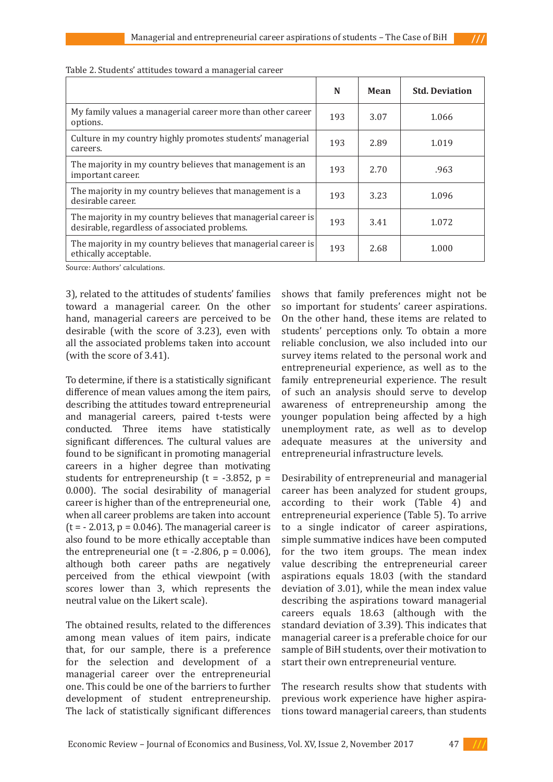|                                                                                                                | N   | Mean | <b>Std. Deviation</b> |
|----------------------------------------------------------------------------------------------------------------|-----|------|-----------------------|
| My family values a managerial career more than other career<br>options.                                        | 193 | 3.07 | 1.066                 |
| Culture in my country highly promotes students' managerial<br>careers.                                         | 193 | 2.89 | 1.019                 |
| The majority in my country believes that management is an<br>important career.                                 | 193 | 2.70 | .963                  |
| The majority in my country believes that management is a<br>desirable career.                                  | 193 | 3.23 | 1.096                 |
| The majority in my country believes that managerial career is<br>desirable, regardless of associated problems. | 193 | 3.41 | 1.072                 |
| The majority in my country believes that managerial career is<br>ethically acceptable.                         | 193 | 2.68 | 1.000                 |

| Table 2. Students' attitudes toward a managerial career |  |
|---------------------------------------------------------|--|
|---------------------------------------------------------|--|

Source: Authors' calculations.

3), related to the attitudes of students' families toward a managerial career. On the other hand, managerial careers are perceived to be desirable (with the score of 3.23), even with all the associated problems taken into account (with the score of 3.41).

To determine, if there is a statistically significant difference of mean values among the item pairs, describing the attitudes toward entrepreneurial and managerial careers, paired t-tests were conducted. Three items have statistically significant differences. The cultural values are found to be significant in promoting managerial careers in a higher degree than motivating students for entrepreneurship ( $t = -3.852$ ,  $p =$ 0.000). The social desirability of managerial career is higher than of the entrepreneurial one, when all career problems are taken into account  $(t = -2.013, p = 0.046)$ . The managerial career is also found to be more ethically acceptable than the entrepreneurial one (t =  $-2.806$ , p = 0.006), although both career paths are negatively perceived from the ethical viewpoint (with scores lower than 3, which represents the neutral value on the Likert scale).

The obtained results, related to the differences among mean values of item pairs, indicate that, for our sample, there is a preference for the selection and development of a managerial career over the entrepreneurial one. This could be one of the barriers to further development of student entrepreneurship. The lack of statistically significant differences shows that family preferences might not be so important for students' career aspirations. On the other hand, these items are related to students' perceptions only. To obtain a more reliable conclusion, we also included into our survey items related to the personal work and entrepreneurial experience, as well as to the family entrepreneurial experience. The result of such an analysis should serve to develop awareness of entrepreneurship among the younger population being affected by a high unemployment rate, as well as to develop adequate measures at the university and entrepreneurial infrastructure levels.

Desirability of entrepreneurial and managerial career has been analyzed for student groups, according to their work (Table 4) and entrepreneurial experience (Table 5). To arrive to a single indicator of career aspirations, simple summative indices have been computed for the two item groups. The mean index value describing the entrepreneurial career aspirations equals 18.03 (with the standard deviation of 3.01), while the mean index value describing the aspirations toward managerial careers equals 18.63 (although with the standard deviation of 3.39). This indicates that managerial career is a preferable choice for our sample of BiH students, over their motivation to start their own entrepreneurial venture.

The research results show that students with previous work experience have higher aspirations toward managerial careers, than students

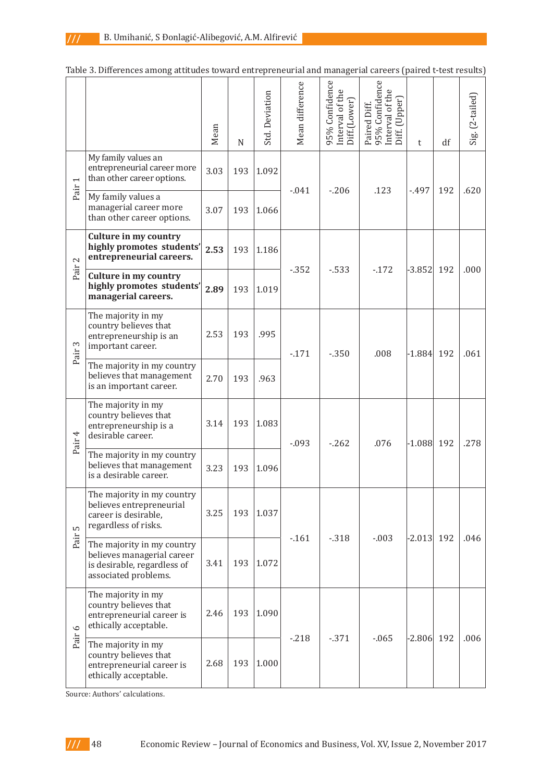|                   |                                                                                                                 | Mean | N   | <b>Std.</b> Deviation | Mean difference | 95% Confidence<br>Interval of the<br>Diff.(Lower) | Paired Diff.<br>95% Confidence<br>Interval of the<br>Diff. (Upper) | t            | df  | Sig. (2-tailed) |
|-------------------|-----------------------------------------------------------------------------------------------------------------|------|-----|-----------------------|-----------------|---------------------------------------------------|--------------------------------------------------------------------|--------------|-----|-----------------|
|                   | My family values an<br>entrepreneurial career more<br>than other career options.                                | 3.03 | 193 | 1.092                 |                 |                                                   |                                                                    |              |     |                 |
| Pair              | My family values a<br>managerial career more<br>than other career options.                                      | 3.07 | 193 | 1.066                 | $-0.041$        | $-206$                                            | .123                                                               | -.497        | 192 | .620            |
| 2                 | Culture in my country<br>highly promotes students'<br>entrepreneurial careers.                                  | 2.53 | 193 | 1.186                 |                 |                                                   |                                                                    |              |     |                 |
| Pair              | <b>Culture in my country</b><br>highly promotes students'<br>managerial careers.                                | 2.89 | 193 | 1.019                 | $-352$          | $-533$                                            | $-172$                                                             | $-3.852$     | 192 | .000            |
| Pair <sub>3</sub> | The majority in my<br>country believes that<br>entrepreneurship is an<br>important career.                      | 2.53 | 193 | .995                  | $-171$          | $-350$                                            | .008                                                               | $-1.884$ 192 |     | .061            |
|                   | The majority in my country<br>believes that management<br>is an important career.                               | 2.70 | 193 | .963                  |                 |                                                   |                                                                    |              |     |                 |
| Pair 4            | The majority in my<br>country believes that<br>entrepreneurship is a<br>desirable career.                       | 3.14 | 193 | 1.083                 | $-0.093$        | $-262$                                            | .076                                                               | $-1.088$ 192 |     | .278            |
|                   | The majority in my country<br>believes that management<br>is a desirable career.                                | 3.23 | 193 | 1.096                 |                 |                                                   |                                                                    |              |     |                 |
| S                 | The majority in my country<br>believes entrepreneurial<br>career is desirable,<br>regardless of risks.          | 3.25 | 193 | 1.037                 |                 | $-318$<br>$-0.03$                                 |                                                                    |              |     |                 |
| Pair              | The majority in my country<br>believes managerial career<br>is desirable, regardless of<br>associated problems. | 3.41 | 193 | 1.072                 | $-161$          |                                                   |                                                                    | $-2.013$ 192 |     | .046            |
| Pair 6            | The majority in my<br>country believes that<br>entrepreneurial career is<br>ethically acceptable.               | 2.46 | 193 | 1.090                 |                 |                                                   |                                                                    |              |     |                 |
|                   | The majority in my<br>country believes that<br>entrepreneurial career is<br>ethically acceptable.               | 2.68 | 193 | 1.000                 | $-218$          | $-371$                                            | $-065$                                                             | $-2.806$ 192 |     | .006            |

| Table 3. Differences among attitudes toward entrepreneurial and managerial careers (paired t-test results) |  |  |
|------------------------------------------------------------------------------------------------------------|--|--|
|                                                                                                            |  |  |

Source: Authors' calculations.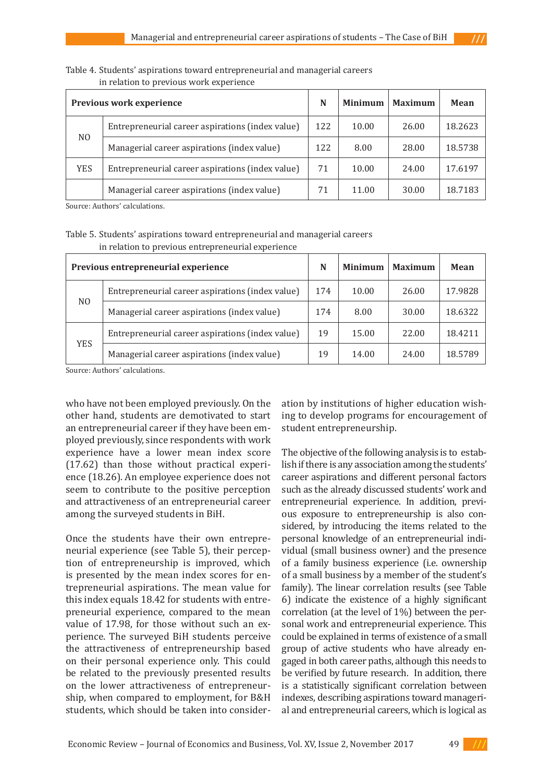|                | Previous work experience                         | N   | <b>Minimum</b> | <b>Maximum</b> | Mean    |
|----------------|--------------------------------------------------|-----|----------------|----------------|---------|
|                | Entrepreneurial career aspirations (index value) | 122 | 10.00          | 26.00          | 18.2623 |
| N <sub>0</sub> | Managerial career aspirations (index value)      | 122 | 8.00           | 28.00          | 18.5738 |
| <b>YES</b>     | Entrepreneurial career aspirations (index value) | 71  | 10.00          | 24.00          | 17.6197 |
|                | Managerial career aspirations (index value)      | 71  | 11.00          | 30.00          | 18.7183 |

#### Table 4. Students' aspirations toward entrepreneurial and managerial careers in relation to previous work experience

Source: Authors' calculations.

## Table 5. Students' aspirations toward entrepreneurial and managerial careers in relation to previous entrepreneurial experience

|                                                  | Previous entrepreneurial experience              | N   | <b>Minimum</b> | <b>Maximum</b> | Mean    |
|--------------------------------------------------|--------------------------------------------------|-----|----------------|----------------|---------|
|                                                  | Entrepreneurial career aspirations (index value) | 174 | 10.00          | 26.00          | 17.9828 |
| N <sub>0</sub>                                   | Managerial career aspirations (index value)      | 174 | 8.00           | 30.00          | 18.6322 |
| Entrepreneurial career aspirations (index value) |                                                  | 19  | 15.00          | 22.00          | 18.4211 |
| <b>YES</b>                                       | Managerial career aspirations (index value)      | 19  | 14.00          | 24.00          | 18.5789 |

Source: Authors' calculations.

who have not been employed previously. On the other hand, students are demotivated to start an entrepreneurial career if they have been employed previously, since respondents with work experience have a lower mean index score (17.62) than those without practical experience (18.26). An employee experience does not seem to contribute to the positive perception and attractiveness of an entrepreneurial career among the surveyed students in BiH.

Once the students have their own entrepreneurial experience (see Table 5), their perception of entrepreneurship is improved, which is presented by the mean index scores for entrepreneurial aspirations. The mean value for this index equals 18.42 for students with entrepreneurial experience, compared to the mean value of 17.98, for those without such an experience. The surveyed BiH students perceive the attractiveness of entrepreneurship based on their personal experience only. This could be related to the previously presented results on the lower attractiveness of entrepreneurship, when compared to employment, for B&H students, which should be taken into consideration by institutions of higher education wishing to develop programs for encouragement of student entrepreneurship.

The objective of the following analysis is to establish if there is any association among the students' career aspirations and different personal factors such as the already discussed students' work and entrepreneurial experience. In addition, previous exposure to entrepreneurship is also considered, by introducing the items related to the personal knowledge of an entrepreneurial individual (small business owner) and the presence of a family business experience (i.e. ownership of a small business by a member of the student's family). The linear correlation results (see Table 6) indicate the existence of a highly significant correlation (at the level of 1%) between the personal work and entrepreneurial experience. This could be explained in terms of existence of a small group of active students who have already engaged in both career paths, although this needs to be verified by future research. In addition, there is a statistically significant correlation between indexes, describing aspirations toward managerial and entrepreneurial careers, which is logical as

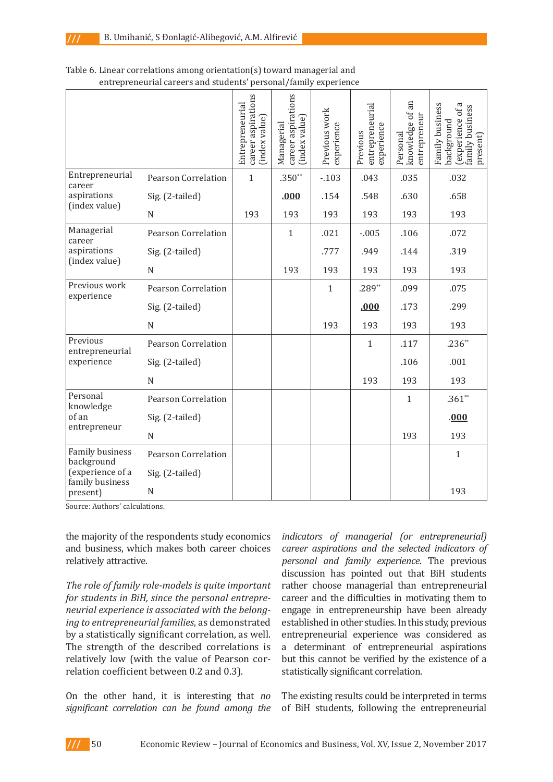|                               |                            | career aspirations<br>Entrepreneurial<br>(index value) | career aspirations<br>(index value)<br>Managerial | Previous work<br>experience | entrepreneurial<br>experience<br>Previous | knowledge of an<br>entrepreneur<br>Personal | Family business<br>Б<br>amily business<br>(experience of<br>background<br>present) |
|-------------------------------|----------------------------|--------------------------------------------------------|---------------------------------------------------|-----------------------------|-------------------------------------------|---------------------------------------------|------------------------------------------------------------------------------------|
| Entrepreneurial<br>career     | <b>Pearson Correlation</b> | $\mathbf{1}$                                           | $.350**$                                          | $-103$                      | .043                                      | .035                                        | .032                                                                               |
| aspirations<br>(index value)  | Sig. (2-tailed)            |                                                        | .000                                              | .154                        | .548                                      | .630                                        | .658                                                                               |
|                               | N                          | 193                                                    | 193                                               | 193                         | 193                                       | 193                                         | 193                                                                                |
| Managerial<br>career          | <b>Pearson Correlation</b> |                                                        | $\mathbf{1}$                                      | .021                        | $-0.005$                                  | .106                                        | .072                                                                               |
| aspirations<br>(index value)  | Sig. (2-tailed)            |                                                        |                                                   | .777                        | .949                                      | .144                                        | .319                                                                               |
|                               | N                          |                                                        | 193                                               | 193                         | 193                                       | 193                                         | 193                                                                                |
| Previous work<br>experience   | <b>Pearson Correlation</b> |                                                        |                                                   | $\mathbf{1}$                | $.289**$                                  | .099                                        | .075                                                                               |
|                               | Sig. (2-tailed)            |                                                        |                                                   |                             | .000                                      | .173                                        | .299                                                                               |
|                               | N                          |                                                        |                                                   | 193                         | 193                                       | 193                                         | 193                                                                                |
| Previous<br>entrepreneurial   | <b>Pearson Correlation</b> |                                                        |                                                   |                             | $\mathbf{1}$                              | .117                                        | $.236**$                                                                           |
| experience                    | Sig. (2-tailed)            |                                                        |                                                   |                             |                                           | .106                                        | .001                                                                               |
|                               | N                          |                                                        |                                                   |                             | 193                                       | 193                                         | 193                                                                                |
| Personal<br>knowledge         | Pearson Correlation        |                                                        |                                                   |                             |                                           | $\mathbf{1}$                                | $.361**$                                                                           |
| of an                         | Sig. (2-tailed)            |                                                        |                                                   |                             |                                           |                                             | .000                                                                               |
| entrepreneur                  | N                          |                                                        |                                                   |                             |                                           | 193                                         | 193                                                                                |
| Family business<br>background | <b>Pearson Correlation</b> |                                                        |                                                   |                             |                                           |                                             | $\mathbf{1}$                                                                       |
| (experience of a              | Sig. (2-tailed)            |                                                        |                                                   |                             |                                           |                                             |                                                                                    |
| family business<br>present)   | N                          |                                                        |                                                   |                             |                                           |                                             | 193                                                                                |

### Table 6. Linear correlations among orientation(s) toward managerial and entrepreneurial careers and students' personal/family experience

Source: Authors' calculations.

the majority of the respondents study economics and business, which makes both career choices relatively attractive.

*The role of family role-models is quite important for students in BiH, since the personal entrepreneurial experience is associated with the belonging to entrepreneurial families*, as demonstrated by a statistically significant correlation, as well. The strength of the described correlations is relatively low (with the value of Pearson correlation coefficient between 0.2 and 0.3).

On the other hand, it is interesting that *no significant correlation can be found among the*  *indicators of managerial (or entrepreneurial) career aspirations and the selected indicators of personal and family experience*. The previous discussion has pointed out that BiH students rather choose managerial than entrepreneurial career and the difficulties in motivating them to engage in entrepreneurship have been already established in other studies. In this study, previous entrepreneurial experience was considered as a determinant of entrepreneurial aspirations but this cannot be verified by the existence of a statistically significant correlation.

The existing results could be interpreted in terms of BiH students, following the entrepreneurial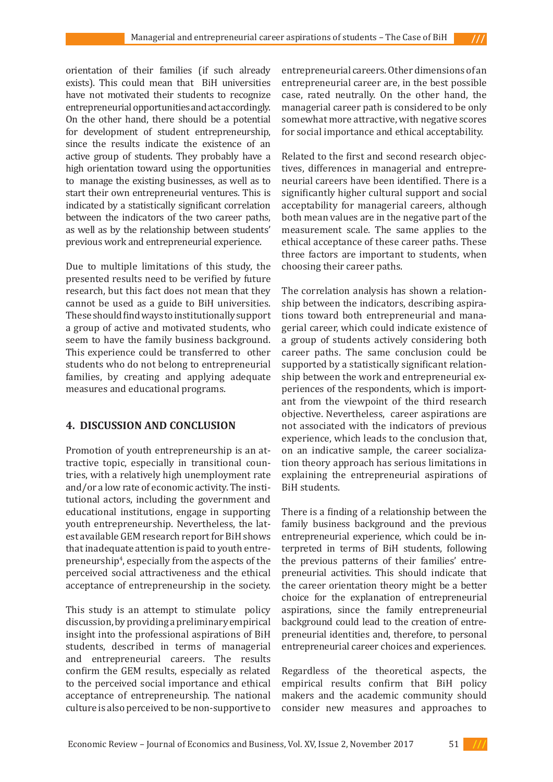orientation of their families (if such already exists). This could mean that BiH universities have not motivated their students to recognize entrepreneurial opportunities and act accordingly. On the other hand, there should be a potential for development of student entrepreneurship, since the results indicate the existence of an active group of students. They probably have a high orientation toward using the opportunities to manage the existing businesses, as well as to start their own entrepreneurial ventures. This is indicated by a statistically significant correlation between the indicators of the two career paths, as well as by the relationship between students' previous work and entrepreneurial experience.

Due to multiple limitations of this study, the presented results need to be verified by future research, but this fact does not mean that they cannot be used as a guide to BiH universities. These should find ways to institutionally support a group of active and motivated students, who seem to have the family business background. This experience could be transferred to other students who do not belong to entrepreneurial families, by creating and applying adequate measures and educational programs.

# **4. DISCUSSION AND CONCLUSION**

Promotion of youth entrepreneurship is an attractive topic, especially in transitional countries, with a relatively high unemployment rate and/or a low rate of economic activity. The institutional actors, including the government and educational institutions, engage in supporting youth entrepreneurship. Nevertheless, the latest available GEM research report for BiH shows that inadequate attention is paid to youth entrepreneurship4 , especially from the aspects of the perceived social attractiveness and the ethical acceptance of entrepreneurship in the society.

This study is an attempt to stimulate policy discussion, by providing a preliminary empirical insight into the professional aspirations of BiH students, described in terms of managerial and entrepreneurial careers. The results confirm the GEM results, especially as related to the perceived social importance and ethical acceptance of entrepreneurship. The national culture is also perceived to be non-supportive to

entrepreneurial careers. Other dimensions of an entrepreneurial career are, in the best possible case, rated neutrally. On the other hand, the managerial career path is considered to be only somewhat more attractive, with negative scores for social importance and ethical acceptability.

Related to the first and second research objectives, differences in managerial and entrepreneurial careers have been identified. There is a significantly higher cultural support and social acceptability for managerial careers, although both mean values are in the negative part of the measurement scale. The same applies to the ethical acceptance of these career paths. These three factors are important to students, when choosing their career paths.

The correlation analysis has shown a relationship between the indicators, describing aspirations toward both entrepreneurial and managerial career, which could indicate existence of a group of students actively considering both career paths. The same conclusion could be supported by a statistically significant relationship between the work and entrepreneurial experiences of the respondents, which is important from the viewpoint of the third research objective. Nevertheless, career aspirations are not associated with the indicators of previous experience, which leads to the conclusion that, on an indicative sample, the career socialization theory approach has serious limitations in explaining the entrepreneurial aspirations of BiH students.

There is a finding of a relationship between the family business background and the previous entrepreneurial experience, which could be interpreted in terms of BiH students, following the previous patterns of their families' entrepreneurial activities. This should indicate that the career orientation theory might be a better choice for the explanation of entrepreneurial aspirations, since the family entrepreneurial background could lead to the creation of entrepreneurial identities and, therefore, to personal entrepreneurial career choices and experiences.

Regardless of the theoretical aspects, the empirical results confirm that BiH policy makers and the academic community should consider new measures and approaches to